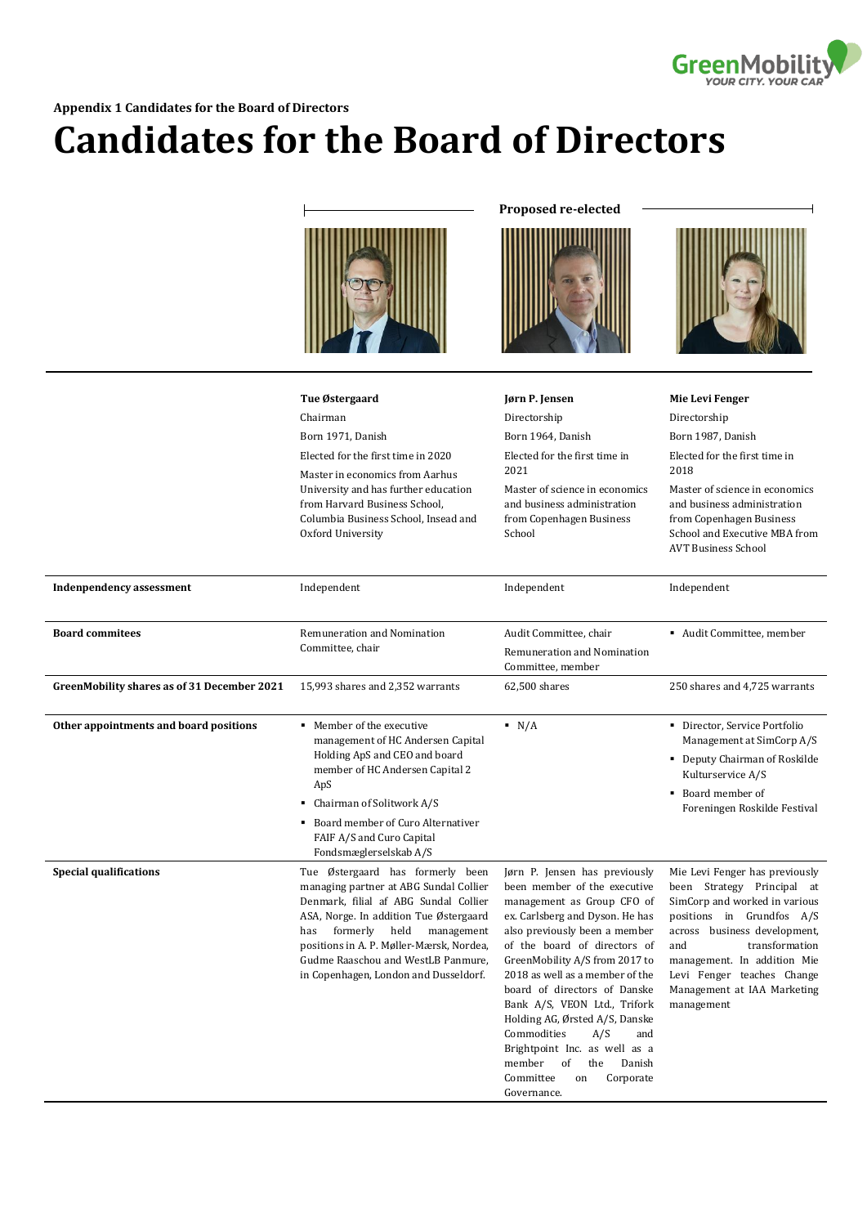

## **Appendix 1 Candidates for the Board of Directors**

## **Candidates for the Board of Directors**



**Proposed re-elected** 





|                                             | Tue Østergaard                                                                                                                                                                                                                                                                                                                 | Jørn P. Jensen                                                                                                                                                                                                                                                                                                                                                                                                                                                                                                       | <b>Mie Levi Fenger</b>                                                                                                                                                                                                                                                                        |
|---------------------------------------------|--------------------------------------------------------------------------------------------------------------------------------------------------------------------------------------------------------------------------------------------------------------------------------------------------------------------------------|----------------------------------------------------------------------------------------------------------------------------------------------------------------------------------------------------------------------------------------------------------------------------------------------------------------------------------------------------------------------------------------------------------------------------------------------------------------------------------------------------------------------|-----------------------------------------------------------------------------------------------------------------------------------------------------------------------------------------------------------------------------------------------------------------------------------------------|
|                                             | Chairman                                                                                                                                                                                                                                                                                                                       | Directorship                                                                                                                                                                                                                                                                                                                                                                                                                                                                                                         | Directorship                                                                                                                                                                                                                                                                                  |
|                                             | Born 1971, Danish                                                                                                                                                                                                                                                                                                              | Born 1964, Danish                                                                                                                                                                                                                                                                                                                                                                                                                                                                                                    | Born 1987, Danish                                                                                                                                                                                                                                                                             |
|                                             | Elected for the first time in 2020<br>Master in economics from Aarhus<br>University and has further education<br>from Harvard Business School,<br>Columbia Business School, Insead and<br>Oxford University                                                                                                                    | Elected for the first time in<br>2021<br>Master of science in economics<br>and business administration<br>from Copenhagen Business<br>School                                                                                                                                                                                                                                                                                                                                                                         | Elected for the first time in<br>2018<br>Master of science in economics<br>and business administration<br>from Copenhagen Business<br>School and Executive MBA from<br><b>AVT Business School</b>                                                                                             |
|                                             |                                                                                                                                                                                                                                                                                                                                |                                                                                                                                                                                                                                                                                                                                                                                                                                                                                                                      |                                                                                                                                                                                                                                                                                               |
| <b>Indenpendency assessment</b>             | Independent                                                                                                                                                                                                                                                                                                                    | Independent                                                                                                                                                                                                                                                                                                                                                                                                                                                                                                          | Independent                                                                                                                                                                                                                                                                                   |
| <b>Board commitees</b>                      | Remuneration and Nomination<br>Committee, chair                                                                                                                                                                                                                                                                                | Audit Committee, chair                                                                                                                                                                                                                                                                                                                                                                                                                                                                                               | Audit Committee, member                                                                                                                                                                                                                                                                       |
|                                             |                                                                                                                                                                                                                                                                                                                                | Remuneration and Nomination<br>Committee, member                                                                                                                                                                                                                                                                                                                                                                                                                                                                     |                                                                                                                                                                                                                                                                                               |
| GreenMobility shares as of 31 December 2021 | 15,993 shares and 2,352 warrants                                                                                                                                                                                                                                                                                               | 62,500 shares                                                                                                                                                                                                                                                                                                                                                                                                                                                                                                        | 250 shares and 4,725 warrants                                                                                                                                                                                                                                                                 |
| Other appointments and board positions      | • Member of the executive<br>management of HC Andersen Capital<br>Holding ApS and CEO and board<br>member of HC Andersen Capital 2<br>ApS<br>• Chairman of Solitwork A/S                                                                                                                                                       | N/A                                                                                                                                                                                                                                                                                                                                                                                                                                                                                                                  | Director, Service Portfolio<br>Management at SimCorp A/S<br>• Deputy Chairman of Roskilde<br>Kulturservice A/S<br>Board member of<br>٠<br>Foreningen Roskilde Festival                                                                                                                        |
|                                             | • Board member of Curo Alternativer<br>FAIF A/S and Curo Capital<br>Fondsmæglerselskab A/S                                                                                                                                                                                                                                     |                                                                                                                                                                                                                                                                                                                                                                                                                                                                                                                      |                                                                                                                                                                                                                                                                                               |
| <b>Special qualifications</b>               | Tue Østergaard has formerly been<br>managing partner at ABG Sundal Collier<br>Denmark, filial af ABG Sundal Collier<br>ASA, Norge. In addition Tue Østergaard<br>formerly held<br>management<br>has<br>positions in A. P. Møller-Mærsk, Nordea,<br>Gudme Raaschou and WestLB Panmure,<br>in Copenhagen, London and Dusseldorf. | Jørn P. Jensen has previously<br>been member of the executive<br>management as Group CFO of<br>ex. Carlsberg and Dyson. He has<br>also previously been a member<br>of the board of directors of<br>GreenMobility A/S from 2017 to<br>2018 as well as a member of the<br>board of directors of Danske<br>Bank A/S, VEON Ltd., Trifork<br>Holding AG, Ørsted A/S, Danske<br>Commodities<br>A/S<br>and<br>Brightpoint Inc. as well as a<br>member<br>of<br>the<br>Danish<br>Committee<br>Corporate<br>on<br>Governance. | Mie Levi Fenger has previously<br>been Strategy Principal at<br>SimCorp and worked in various<br>positions in Grundfos A/S<br>across business development,<br>transformation<br>and<br>management. In addition Mie<br>Levi Fenger teaches Change<br>Management at IAA Marketing<br>management |